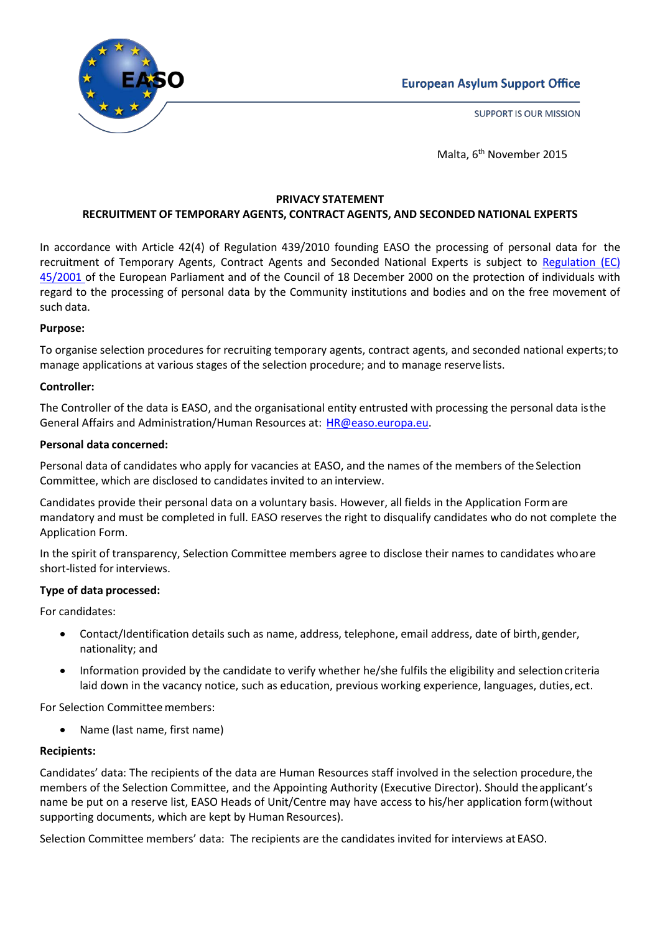

**SUPPORT IS OUR MISSION** 



Malta, 6<sup>th</sup> November 2015

#### **PRIVACY STATEMENT RECRUITMENT OF TEMPORARY AGENTS, CONTRACT AGENTS, AND SECONDED NATIONAL EXPERTS**

In accordance with Article 42(4) of Regulation 439/2010 founding EASO the processing of personal data for the recruitment of Temporary Agents, Contract Agents and Seconded National Experts is subject to [Regulation](http://eur-lex.europa.eu/LexUriServ/LexUriServ.do?uri=OJ%3AL%3A2001%3A008%3A0001%3A0022%3AEN%3APDF) (EC) [45/2001](http://eur-lex.europa.eu/LexUriServ/LexUriServ.do?uri=OJ%3AL%3A2001%3A008%3A0001%3A0022%3AEN%3APDF) of the European Parliament and of the Council of 18 December 2000 on the protection of individuals with regard to the processing of personal data by the Community institutions and bodies and on the free movement of such data.

# **Purpose:**

To organise selection procedures for recruiting temporary agents, contract agents, and seconded national experts;to manage applications at various stages of the selection procedure; and to manage reservelists.

# **Controller:**

The Controller of the data is EASO, and the organisational entity entrusted with processing the personal data isthe General Affairs and Administration/Human Resources at: [HR@easo.europa.eu.](mailto:%20HR@easo.europa.eu)

# **Personal data concerned:**

Personal data of candidates who apply for vacancies at EASO, and the names of the members of the Selection Committee, which are disclosed to candidates invited to an interview.

Candidates provide their personal data on a voluntary basis. However, all fields in the Application Formare mandatory and must be completed in full. EASO reserves the right to disqualify candidates who do not complete the Application Form.

In the spirit of transparency, Selection Committee members agree to disclose their names to candidates whoare short-listed for interviews.

## **Type of data processed:**

For candidates:

- Contact/Identification details such as name, address, telephone, email address, date of birth, gender, nationality; and
- Information provided by the candidate to verify whether he/she fulfils the eligibility and selection criteria laid down in the vacancy notice, such as education, previous working experience, languages, duties, ect.

For Selection Committee members:

• Name (last name, first name)

## **Recipients:**

Candidates' data: The recipients of the data are Human Resources staff involved in the selection procedure,the members of the Selection Committee, and the Appointing Authority (Executive Director). Should theapplicant's name be put on a reserve list, EASO Heads of Unit/Centre may have access to his/her application form(without supporting documents, which are kept by Human Resources).

Selection Committee members' data: The recipients are the candidates invited for interviews at EASO.